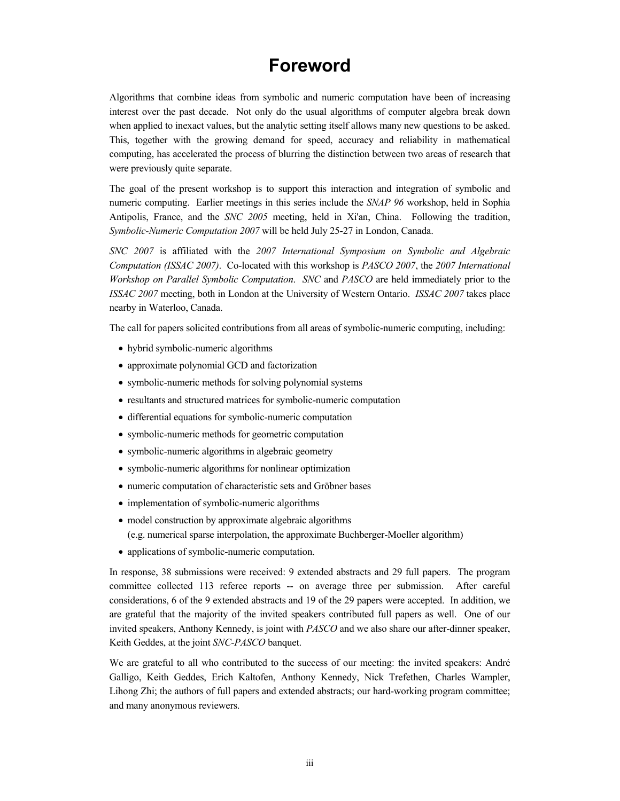## **Foreword**

Algorithms that combine ideas from symbolic and numeric computation have been of increasing interest over the past decade. Not only do the usual algorithms of computer algebra break down when applied to inexact values, but the analytic setting itself allows many new questions to be asked. This, together with the growing demand for speed, accuracy and reliability in mathematical computing, has accelerated the process of blurring the distinction between two areas of research that were previously quite separate.

The goal of the present workshop is to support this interaction and integration of symbolic and numeric computing. Earlier meetings in this series include the *SNAP 96* workshop, held in Sophia Antipolis, France, and the *SNC 2005* meeting, held in Xi'an, China. Following the tradition, *Symbolic-Numeric Computation 2007* will be held July 25-27 in London, Canada.

*SNC 2007* is affiliated with the *2007 International Symposium on Symbolic and Algebraic Computation (ISSAC 2007)*. Co-located with this workshop is *PASCO 2007*, the *2007 International Workshop on Parallel Symbolic Computation*. *SNC* and *PASCO* are held immediately prior to the *ISSAC 2007* meeting, both in London at the University of Western Ontario. *ISSAC 2007* takes place nearby in Waterloo, Canada.

The call for papers solicited contributions from all areas of symbolic-numeric computing, including:

- hybrid symbolic-numeric algorithms
- approximate polynomial GCD and factorization
- symbolic-numeric methods for solving polynomial systems
- resultants and structured matrices for symbolic-numeric computation
- differential equations for symbolic-numeric computation
- symbolic-numeric methods for geometric computation
- symbolic-numeric algorithms in algebraic geometry
- symbolic-numeric algorithms for nonlinear optimization
- numeric computation of characteristic sets and Gröbner bases
- implementation of symbolic-numeric algorithms
- model construction by approximate algebraic algorithms (e.g. numerical sparse interpolation, the approximate Buchberger-Moeller algorithm)
- applications of symbolic-numeric computation.

In response, 38 submissions were received: 9 extended abstracts and 29 full papers. The program committee collected 113 referee reports -- on average three per submission. After careful considerations, 6 of the 9 extended abstracts and 19 of the 29 papers were accepted. In addition, we are grateful that the majority of the invited speakers contributed full papers as well. One of our invited speakers, Anthony Kennedy, is joint with *PASCO* and we also share our after-dinner speaker, Keith Geddes, at the joint *SNC-PASCO* banquet.

We are grateful to all who contributed to the success of our meeting: the invited speakers: André Galligo, Keith Geddes, Erich Kaltofen, Anthony Kennedy, Nick Trefethen, Charles Wampler, Lihong Zhi; the authors of full papers and extended abstracts; our hard-working program committee; and many anonymous reviewers.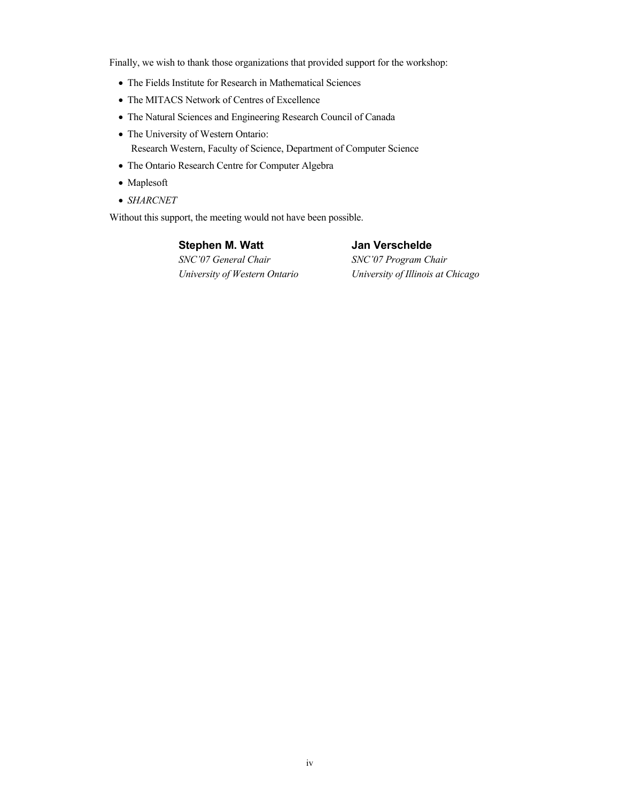Finally, we wish to thank those organizations that provided support for the workshop:

- The Fields Institute for Research in Mathematical Sciences
- The MITACS Network of Centres of Excellence
- The Natural Sciences and Engineering Research Council of Canada
- The University of Western Ontario: Research Western, Faculty of Science, Department of Computer Science
- The Ontario Research Centre for Computer Algebra
- Maplesoft
- *SHARCNET*

Without this support, the meeting would not have been possible.

**Stephen M. Watt**  *SNC'07 General Chair University of Western Ontario* **Jan Verschelde**

*SNC'07 Program Chair University of Illinois at Chicago*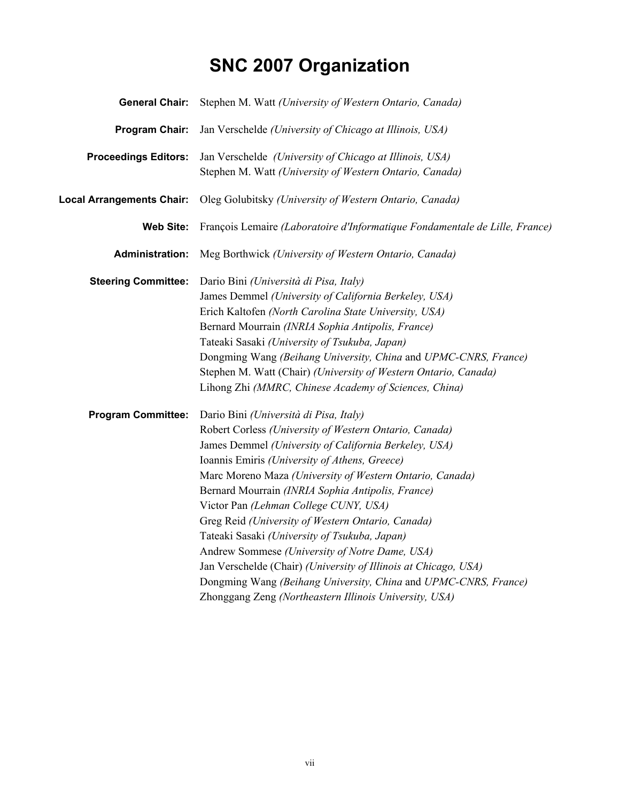## **SNC 2007 Organization**

| <b>General Chair:</b>            | Stephen M. Watt (University of Western Ontario, Canada)                                                                                                                                                                                                                                                                                                                                                                                                                                                                                                                                                                                                                                                                      |
|----------------------------------|------------------------------------------------------------------------------------------------------------------------------------------------------------------------------------------------------------------------------------------------------------------------------------------------------------------------------------------------------------------------------------------------------------------------------------------------------------------------------------------------------------------------------------------------------------------------------------------------------------------------------------------------------------------------------------------------------------------------------|
| Program Chair:                   | Jan Verschelde (University of Chicago at Illinois, USA)                                                                                                                                                                                                                                                                                                                                                                                                                                                                                                                                                                                                                                                                      |
| <b>Proceedings Editors:</b>      | Jan Verschelde (University of Chicago at Illinois, USA)<br>Stephen M. Watt (University of Western Ontario, Canada)                                                                                                                                                                                                                                                                                                                                                                                                                                                                                                                                                                                                           |
| <b>Local Arrangements Chair:</b> | Oleg Golubitsky (University of Western Ontario, Canada)                                                                                                                                                                                                                                                                                                                                                                                                                                                                                                                                                                                                                                                                      |
| <b>Web Site:</b>                 | François Lemaire (Laboratoire d'Informatique Fondamentale de Lille, France)                                                                                                                                                                                                                                                                                                                                                                                                                                                                                                                                                                                                                                                  |
| <b>Administration:</b>           | Meg Borthwick (University of Western Ontario, Canada)                                                                                                                                                                                                                                                                                                                                                                                                                                                                                                                                                                                                                                                                        |
| <b>Steering Committee:</b>       | Dario Bini (Università di Pisa, Italy)<br>James Demmel (University of California Berkeley, USA)<br>Erich Kaltofen (North Carolina State University, USA)<br>Bernard Mourrain (INRIA Sophia Antipolis, France)<br>Tateaki Sasaki (University of Tsukuba, Japan)<br>Dongming Wang (Beihang University, China and UPMC-CNRS, France)<br>Stephen M. Watt (Chair) (University of Western Ontario, Canada)<br>Lihong Zhi (MMRC, Chinese Academy of Sciences, China)                                                                                                                                                                                                                                                                |
| <b>Program Committee:</b>        | Dario Bini (Università di Pisa, Italy)<br>Robert Corless (University of Western Ontario, Canada)<br>James Demmel (University of California Berkeley, USA)<br>Ioannis Emiris (University of Athens, Greece)<br>Marc Moreno Maza (University of Western Ontario, Canada)<br>Bernard Mourrain (INRIA Sophia Antipolis, France)<br>Victor Pan (Lehman College CUNY, USA)<br>Greg Reid (University of Western Ontario, Canada)<br>Tateaki Sasaki (University of Tsukuba, Japan)<br>Andrew Sommese (University of Notre Dame, USA)<br>Jan Verschelde (Chair) (University of Illinois at Chicago, USA)<br>Dongming Wang (Beihang University, China and UPMC-CNRS, France)<br>Zhonggang Zeng (Northeastern Illinois University, USA) |